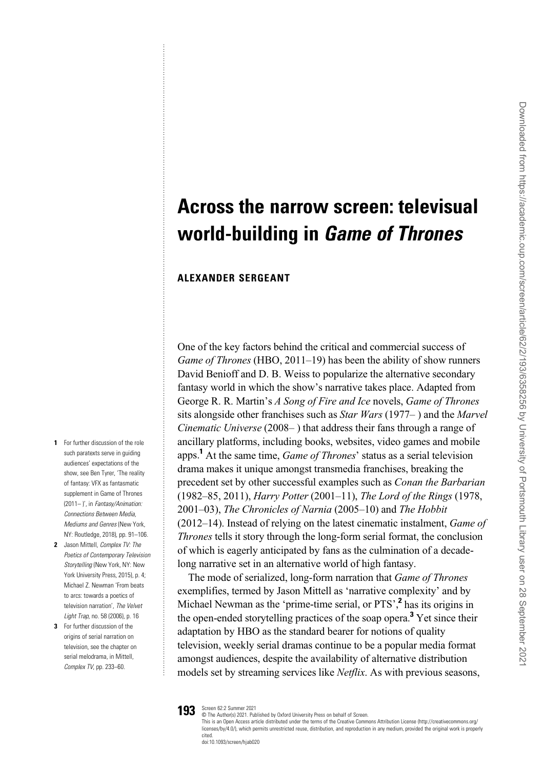## Across the narrow screen: televisual world-building in Game of Thrones

## ALEXANDER SERGEANT

One of the key factors behind the critical and commercial success of Game of Thrones (HBO, 2011–19) has been the ability of show runners David Benioff and D. B. Weiss to popularize the alternative secondary fantasy world in which the show's narrative takes place. Adapted from George R. R. Martin's A Song of Fire and Ice novels, Game of Thrones sits alongside other franchises such as Star Wars (1977– ) and the Marvel Cinematic Universe (2008– ) that address their fans through a range of ancillary platforms, including books, websites, video games and mobile apps.<sup>1</sup> At the same time, Game of Thrones' status as a serial television drama makes it unique amongst transmedia franchises, breaking the precedent set by other successful examples such as Conan the Barbarian (1982–85, 2011), Harry Potter (2001–11), The Lord of the Rings (1978, 2001–03), The Chronicles of Narnia (2005–10) and The Hobbit (2012–14). Instead of relying on the latest cinematic instalment, Game of Thrones tells it story through the long-form serial format, the conclusion of which is eagerly anticipated by fans as the culmination of a decadelong narrative set in an alternative world of high fantasy.

The mode of serialized, long-form narration that Game of Thrones exemplifies, termed by Jason Mittell as 'narrative complexity' and by Michael Newman as the 'prime-time serial, or PTS',<sup>2</sup> has its origins in the open-ended storytelling practices of the soap opera.<sup>3</sup> Yet since their adaptation by HBO as the standard bearer for notions of quality television, weekly serial dramas continue to be a popular media format amongst audiences, despite the availability of alternative distribution models set by streaming services like Netflix. As with previous seasons,

- 1 For further discussion of the role such paratexts serve in guiding audiences' expectations of the show, see Ben Tyrer, 'The reality of fantasy: VFX as fantasmatic supplement in Game of Thrones (2011– )', in Fantasy/Animation: Connections Between Media, Mediums and Genres (New York, NY: Routledge, 2018), pp. 91–106.
- 2 Jason Mittell, Complex TV: The Poetics of Contemporary Television Storytelling (New York, NY: New York University Press, 2015), p. 4: Michael Z. Newman 'From beats to arcs: towards a poetics of television narration', The Velvet Light Trap, no. 58 (2006), p. 16
- 3 For further discussion of the origins of serial narration on television, see the chapter on serial melodrama, in Mittell, Complex TV, pp. 233–60.

. . . . . . . . . . .

.

193 Screen 62:2 Summer 2021<br>193 © The Author(s) 2021. Published by Oxford University Press on behalf of Screen.

This is an Open Access article distributed under the terms of the Creative Commons Attribution License (http://creativecommons.org/ licenses/by/4.0/), which permits unrestricted reuse, distribution, and reproduction in any medium, provided the original work is properly cited.

doi:10.1093/screen/hjab020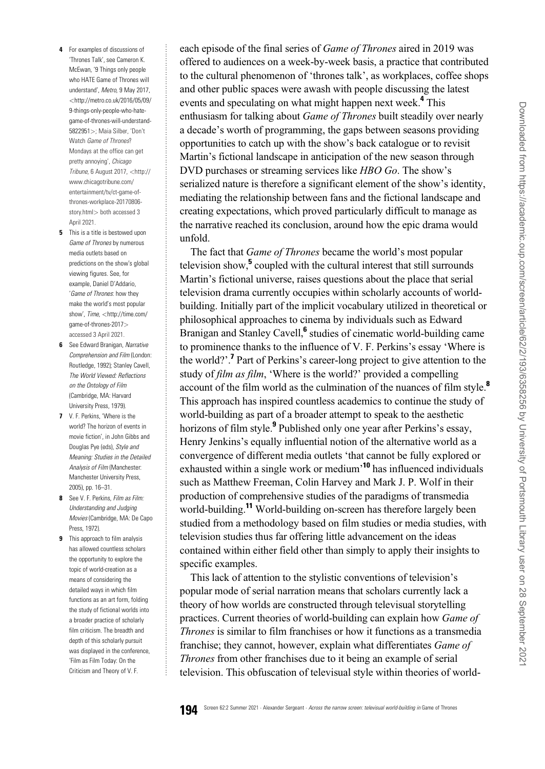4 For examples of discussions of 'Thrones Talk', see Cameron K. McEwan, '9 Things only people who HATE Game of Thrones will understand', Metro, 9 May 2017, <[http://metro.co.uk/2016/05/09/](http://metro.co.uk/2016/05/09/9-things-only-people-who-hate-game-of-thrones-will-understand-5822951) [9-things-only-people-who-hate](http://metro.co.uk/2016/05/09/9-things-only-people-who-hate-game-of-thrones-will-understand-5822951)[game-of-thrones-will-understand-](http://metro.co.uk/2016/05/09/9-things-only-people-who-hate-game-of-thrones-will-understand-5822951)[5822951](http://metro.co.uk/2016/05/09/9-things-only-people-who-hate-game-of-thrones-will-understand-5822951)>; Maia Silber, 'Don't Watch Game of Thrones? Mondays at the office can get pretty annoying', Chicago Tribune, 6 August 2017, <[http://](http://www.chicagotribune.com/entertainment/tv/ct-game-of-thrones-workplace-20170806-story.html) [www.chicagotribune.com/](http://www.chicagotribune.com/entertainment/tv/ct-game-of-thrones-workplace-20170806-story.html) [entertainment/tv/ct-game-of](http://www.chicagotribune.com/entertainment/tv/ct-game-of-thrones-workplace-20170806-story.html)[thrones-workplace-20170806](http://www.chicagotribune.com/entertainment/tv/ct-game-of-thrones-workplace-20170806-story.html) [story.html](http://www.chicagotribune.com/entertainment/tv/ct-game-of-thrones-workplace-20170806-story.html)> both accessed 3 April 2021.

. .

.

- **5** This is a title is bestowed upon Game of Thrones by numerous media outlets based on predictions on the show's global viewing figures. See, for example, Daniel D'Addario, 'Game of Thrones: how they make the world's most popular show', Time, <[http://time.com/](http://time.com/game-of-thrones-2017) [game-of-thrones-2017](http://time.com/game-of-thrones-2017)> accessed 3 April 2021.
- **6** See Edward Branigan, Narrative Comprehension and Film (London: Routledge, 1992); Stanley Cavell, The World Viewed: Reflections on the Ontology of Film (Cambridge, MA: Harvard University Press, 1979).
- 7 V. F. Perkins, 'Where is the world? The horizon of events in movie fiction', in John Gibbs and Douglas Pye (eds), Style and Meaning: Studies in the Detailed Analysis of Film (Manchester: Manchester University Press, 2005), pp. 16–31.
- 8 See V. F. Perkins, Film as Film: Understanding and Judging Movies (Cambridge, MA: De Capo Press, 1972).
- **9** This approach to film analysis has allowed countless scholars the opportunity to explore the topic of world-creation as a means of considering the detailed ways in which film functions as an art form, folding the study of fictional worlds into a broader practice of scholarly film criticism. The breadth and depth of this scholarly pursuit was displayed in the conference, 'Film as Film Today: On the Criticism and Theory of V. F.

. . . . . . . . . . . . . . . . . . . . . . . . . . . . . . . . . . . . . . . . . . . . . . . . . . . . . . . . . . . . . . . . . . . . . . . . . . . . . . . . . . . . . . . . . . . . . . . . . . . . . . . . . . . . . . . . . . . . . . . each episode of the final series of *Game of Thrones* aired in 2019 was offered to audiences on a week-by-week basis, a practice that contributed to the cultural phenomenon of 'thrones talk', as workplaces, coffee shops and other public spaces were awash with people discussing the latest events and speculating on what might happen next week.<sup>4</sup> This enthusiasm for talking about Game of Thrones built steadily over nearly a decade's worth of programming, the gaps between seasons providing opportunities to catch up with the show's back catalogue or to revisit Martin's fictional landscape in anticipation of the new season through DVD purchases or streaming services like *HBO Go*. The show's serialized nature is therefore a significant element of the show's identity, mediating the relationship between fans and the fictional landscape and creating expectations, which proved particularly difficult to manage as the narrative reached its conclusion, around how the epic drama would unfold.

The fact that *Game of Thrones* became the world's most popular television show, $5$  coupled with the cultural interest that still surrounds Martin's fictional universe, raises questions about the place that serial television drama currently occupies within scholarly accounts of worldbuilding. Initially part of the implicit vocabulary utilized in theoretical or philosophical approaches to cinema by individuals such as Edward Branigan and Stanley Cavell, $6$  studies of cinematic world-building came to prominence thanks to the influence of V. F. Perkins's essay 'Where is the world?'.<sup>7</sup> Part of Perkins's career-long project to give attention to the study of film as film, 'Where is the world?' provided a compelling account of the film world as the culmination of the nuances of film style.<sup>8</sup> This approach has inspired countless academics to continue the study of world-building as part of a broader attempt to speak to the aesthetic horizons of film style.<sup>9</sup> Published only one year after Perkins's essay, Henry Jenkins's equally influential notion of the alternative world as a convergence of different media outlets 'that cannot be fully explored or exhausted within a single work or medium<sup>10</sup> has influenced individuals such as Matthew Freeman, Colin Harvey and Mark J. P. Wolf in their production of comprehensive studies of the paradigms of transmedia world-building.<sup>11</sup> World-building on-screen has therefore largely been studied from a methodology based on film studies or media studies, with television studies thus far offering little advancement on the ideas contained within either field other than simply to apply their insights to specific examples.

This lack of attention to the stylistic conventions of television's popular mode of serial narration means that scholars currently lack a theory of how worlds are constructed through televisual storytelling practices. Current theories of world-building can explain how Game of Thrones is similar to film franchises or how it functions as a transmedia franchise; they cannot, however, explain what differentiates Game of Thrones from other franchises due to it being an example of serial television. This obfuscation of televisual style within theories of world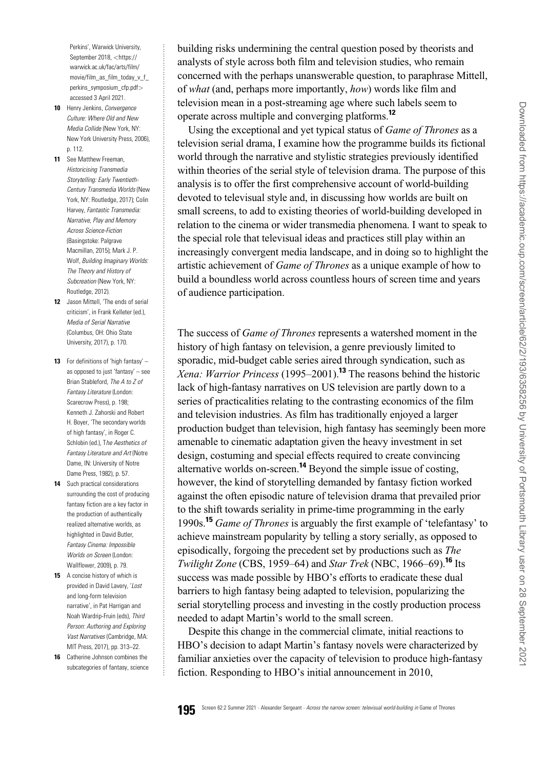Perkins', Warwick University, September 2018, <[https://](https://warwick.ac.uk/fac/arts/film/movie/film_as_film_today_v_f_perkins_symposium_cfp.pdf) [warwick.ac.uk/fac/arts/film/](https://warwick.ac.uk/fac/arts/film/movie/film_as_film_today_v_f_perkins_symposium_cfp.pdf) movie/film\_as\_film\_today\_v\_f [perkins\\_symposium\\_cfp.pdf](https://warwick.ac.uk/fac/arts/film/movie/film_as_film_today_v_f_perkins_symposium_cfp.pdf)> accessed 3 April 2021.

- 10 Henry Jenkins, Convergence Culture: Where Old and New Media Collide (New York, NY: New York University Press, 2006), p. 112.
- 11 See Matthew Freeman, Historicising Transmedia Storytelling: Early Twentieth-Century Transmedia Worlds (New York, NY: Routledge, 2017); Colin Harvey, Fantastic Transmedia: Narrative, Play and Memory Across Science-Fiction (Basingstoke: Palgrave Macmillan, 2015); Mark J. P. Wolf, Building Imaginary Worlds: The Theory and History of Subcreation (New York, NY: Routledge, 2012).
- 12 Jason Mittell, 'The ends of serial criticism', in Frank Kelleter (ed.), Media of Serial Narrative (Columbus, OH: Ohio State University, 2017), p. 170.
- 13 For definitions of 'high fantasy'  $$ as opposed to just 'fantasy' – see Brian Stableford, The A to Z of Fantasy Literature (London: Scarecrow Press), p. 198; Kenneth J. Zahorski and Robert H. Boyer, 'The secondary worlds of high fantasy', in Roger C. Schlobin (ed.), The Aesthetics of Fantasy Literature and Art (Notre Dame, IN: University of Notre Dame Press, 1982), p. 57.
- 14 Such practical considerations surrounding the cost of producing fantasy fiction are a key factor in the production of authentically realized alternative worlds, as highlighted in David Butler, Fantasy Cinema: Impossible Worlds on Screen (London: Wallflower, 2009), p. 79.
- **15** A concise history of which is provided in David Lavery, 'Lost and long-form television narrative', in Pat Harrigan and Noah Wardrip-Fruin (eds), Third Person: Authoring and Exploring Vast Narratives (Cambridge, MA: MIT Press, 2017), pp. 313–22.
- 16 Catherine Johnson combines the subcategories of fantasy, science

. . . . . . . . . . .

.

. building risks undermining the central question posed by theorists and analysts of style across both film and television studies, who remain concerned with the perhaps unanswerable question, to paraphrase Mittell, of what (and, perhaps more importantly, how) words like film and television mean in a post-streaming age where such labels seem to operate across multiple and converging platforms.<sup>12</sup>

Using the exceptional and yet typical status of *Game of Thrones* as a television serial drama, I examine how the programme builds its fictional world through the narrative and stylistic strategies previously identified within theories of the serial style of television drama. The purpose of this analysis is to offer the first comprehensive account of world-building devoted to televisual style and, in discussing how worlds are built on small screens, to add to existing theories of world-building developed in relation to the cinema or wider transmedia phenomena. I want to speak to the special role that televisual ideas and practices still play within an increasingly convergent media landscape, and in doing so to highlight the artistic achievement of Game of Thrones as a unique example of how to build a boundless world across countless hours of screen time and years of audience participation.

The success of Game of Thrones represents a watershed moment in the history of high fantasy on television, a genre previously limited to sporadic, mid-budget cable series aired through syndication, such as Xena: Warrior Princess (1995–2001).<sup>13</sup> The reasons behind the historic lack of high-fantasy narratives on US television are partly down to a series of practicalities relating to the contrasting economics of the film and television industries. As film has traditionally enjoyed a larger production budget than television, high fantasy has seemingly been more amenable to cinematic adaptation given the heavy investment in set design, costuming and special effects required to create convincing alternative worlds on-screen.<sup>14</sup> Beyond the simple issue of costing, however, the kind of storytelling demanded by fantasy fiction worked against the often episodic nature of television drama that prevailed prior to the shift towards seriality in prime-time programming in the early 1990s.<sup>15</sup> Game of Thrones is arguably the first example of 'telefantasy' to achieve mainstream popularity by telling a story serially, as opposed to episodically, forgoing the precedent set by productions such as The Twilight Zone (CBS, 1959–64) and Star Trek (NBC, 1966–69).<sup>16</sup> Its success was made possible by HBO's efforts to eradicate these dual barriers to high fantasy being adapted to television, popularizing the serial storytelling process and investing in the costly production process needed to adapt Martin's world to the small screen.

Despite this change in the commercial climate, initial reactions to HBO's decision to adapt Martin's fantasy novels were characterized by familiar anxieties over the capacity of television to produce high-fantasy fiction. Responding to HBO's initial announcement in 2010,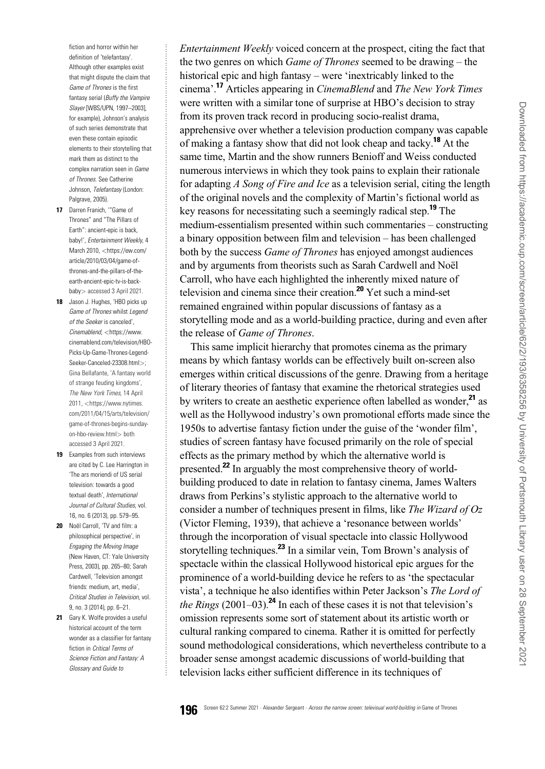fiction and horror within her definition of 'telefantasy'. Although other examples exist that might dispute the claim that Game of Thrones is the first fantasy serial (Buffy the Vampire Slayer [WBS/UPN, 1997–2003], for example), Johnson's analysis of such series demonstrate that even these contain episodic elements to their storytelling that mark them as distinct to the complex narration seen in Game of Thrones. See Catherine Johnson, Telefantasy (London: Palgrave, 2005).

. .

.

- 17 Darren Franich, ""Game of Thrones" and "The Pillars of Earth": ancient-epic is back, baby!', Entertainment Weekly, 4 March 2010, <[https://ew.com/](https://ew.com/article/2010/03/04/game-of-thrones-and-the-pillars-of-the-earth-ancient-epic-tv-is-back-baby) [article/2010/03/04/game-of](https://ew.com/article/2010/03/04/game-of-thrones-and-the-pillars-of-the-earth-ancient-epic-tv-is-back-baby)[thrones-and-the-pillars-of-the](https://ew.com/article/2010/03/04/game-of-thrones-and-the-pillars-of-the-earth-ancient-epic-tv-is-back-baby)[earth-ancient-epic-tv-is-back](https://ew.com/article/2010/03/04/game-of-thrones-and-the-pillars-of-the-earth-ancient-epic-tv-is-back-baby)[baby](https://ew.com/article/2010/03/04/game-of-thrones-and-the-pillars-of-the-earth-ancient-epic-tv-is-back-baby)> accessed 3 April 2021.
- 18 Jason J. Hughes, 'HBO picks up Game of Thrones whilst Legend of the Seeker is canceled', Cinemablend, <[https://www.](https://www.cinemablend.com/television/HBO-Picks-Up-Game-Thrones-Legend-Seeker-Canceled-23308.html) [cinemablend.com/television/HBO-](https://www.cinemablend.com/television/HBO-Picks-Up-Game-Thrones-Legend-Seeker-Canceled-23308.html)[Picks-Up-Game-Thrones-Legend-](https://www.cinemablend.com/television/HBO-Picks-Up-Game-Thrones-Legend-Seeker-Canceled-23308.html)[Seeker-Canceled-23308.html](https://www.cinemablend.com/television/HBO-Picks-Up-Game-Thrones-Legend-Seeker-Canceled-23308.html)>; Gina Bellafante, 'A fantasy world of strange feuding kingdoms', The New York Times, 14 April 2011, [https://www.nytimes.](https://www.nytimes.com/2011/04/15/arts/television/game-of-thrones-begins-sunday-on-hbo-review.html) [com/2011/04/15/arts/television/](https://www.nytimes.com/2011/04/15/arts/television/game-of-thrones-begins-sunday-on-hbo-review.html) [game-of-thrones-begins-sunday](https://www.nytimes.com/2011/04/15/arts/television/game-of-thrones-begins-sunday-on-hbo-review.html)[on-hbo-review.html](https://www.nytimes.com/2011/04/15/arts/television/game-of-thrones-begins-sunday-on-hbo-review.html)> both accessed 3 April 2021.
- 19 Examples from such interviews are cited by C. Lee Harrington in 'The ars moriendi of US serial television: towards a good textual death', International Journal of Cultural Studies, vol. 16, no. 6 (2013), pp. 579–95.
- 20 Noël Carroll, 'TV and film: a philosophical perspective', in Engaging the Moving Image (New Haven, CT: Yale University Press, 2003), pp. 265–80; Sarah Cardwell, 'Television amongst friends: medium, art, media', Critical Studies in Television, vol. 9, no. 3 (2014), pp. 6–21.
- 21 Gary K. Wolfe provides a useful historical account of the term wonder as a classifier for fantasy fiction in Critical Terms of Science Fiction and Fantasy: A Glossary and Guide to

. . . . . . . . . . . . . . . . . . . . . . . . . . . . . . . . . . . . . . . . . . . . . . . . . . . . . . . . . . . . . . . . . . . . . . . . . . . . . . . . . . . . . . . . . . . . . . . . . . . . . . . . . . . . . . . . . . . . . . . . Entertainment Weekly voiced concern at the prospect, citing the fact that the two genres on which Game of Thrones seemed to be drawing – the historical epic and high fantasy – were 'inextricably linked to the cinema'.<sup>17</sup> Articles appearing in CinemaBlend and The New York Times were written with a similar tone of surprise at HBO's decision to stray from its proven track record in producing socio-realist drama, apprehensive over whether a television production company was capable of making a fantasy show that did not look cheap and tacky.<sup>18</sup> At the same time, Martin and the show runners Benioff and Weiss conducted numerous interviews in which they took pains to explain their rationale for adapting A Song of Fire and Ice as a television serial, citing the length of the original novels and the complexity of Martin's fictional world as key reasons for necessitating such a seemingly radical step.<sup>19</sup> The medium-essentialism presented within such commentaries – constructing a binary opposition between film and television – has been challenged both by the success Game of Thrones has enjoyed amongst audiences and by arguments from theorists such as Sarah Cardwell and Noël Carroll, who have each highlighted the inherently mixed nature of television and cinema since their creation.<sup>20</sup> Yet such a mind-set remained engrained within popular discussions of fantasy as a storytelling mode and as a world-building practice, during and even after the release of Game of Thrones.

This same implicit hierarchy that promotes cinema as the primary means by which fantasy worlds can be effectively built on-screen also emerges within critical discussions of the genre. Drawing from a heritage of literary theories of fantasy that examine the rhetorical strategies used by writers to create an aesthetic experience often labelled as wonder,<sup>21</sup> as well as the Hollywood industry's own promotional efforts made since the 1950s to advertise fantasy fiction under the guise of the 'wonder film', studies of screen fantasy have focused primarily on the role of special effects as the primary method by which the alternative world is presented.<sup>22</sup> In arguably the most comprehensive theory of worldbuilding produced to date in relation to fantasy cinema, James Walters draws from Perkins's stylistic approach to the alternative world to consider a number of techniques present in films, like The Wizard of Oz (Victor Fleming, 1939), that achieve a 'resonance between worlds' through the incorporation of visual spectacle into classic Hollywood storytelling techniques.<sup>23</sup> In a similar vein, Tom Brown's analysis of spectacle within the classical Hollywood historical epic argues for the prominence of a world-building device he refers to as 'the spectacular vista', a technique he also identifies within Peter Jackson's The Lord of the Rings  $(2001-03)$ .<sup>24</sup> In each of these cases it is not that television's omission represents some sort of statement about its artistic worth or cultural ranking compared to cinema. Rather it is omitted for perfectly sound methodological considerations, which nevertheless contribute to a broader sense amongst academic discussions of world-building that television lacks either sufficient difference in its techniques of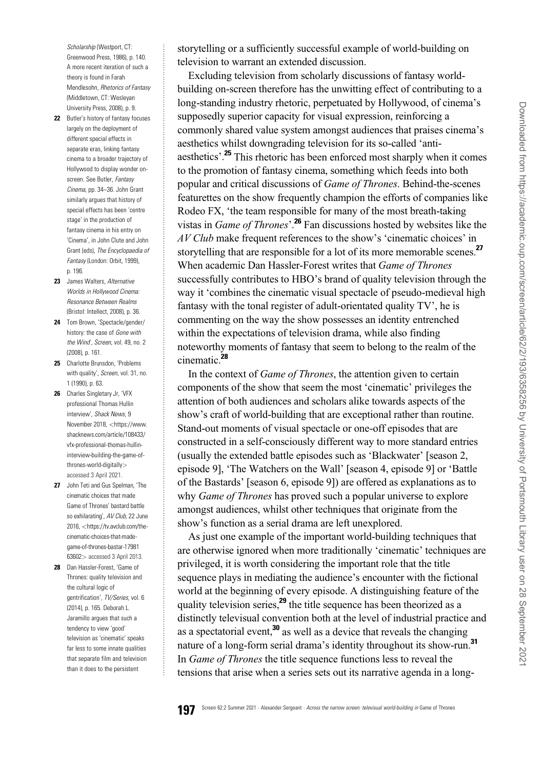Scholarship (Westport, CT: Greenwood Press, 1986), p. 140. A more recent iteration of such a theory is found in Farah Mendlesohn, Rhetorics of Fantasy (Middletown, CT: Wesleyan University Press, 2008), p. 9.

- 22 Butler's history of fantasy focuses largely on the deployment of different special effects in separate eras, linking fantasy cinema to a broader trajectory of Hollywood to display wonder onscreen. See Butler, Fantasy Cinema, pp. 34–36. John Grant similarly argues that history of special effects has been 'centre stage' in the production of fantasy cinema in his entry on 'Cinema', in John Clute and John Grant (eds), The Encyclopaedia of Fantasy (London: Orbit, 1999), p. 196.
- 23 James Walters, Alternative Worlds in Hollywood Cinema: Resonance Between Realms (Bristol: Intellect, 2008), p. 36.
- 24 Tom Brown, 'Spectacle/gender/ history: the case of Gone with the Wind', Screen, vol. 49, no. 2 (2008), p. 161.
- 25 Charlotte Brunsdon, 'Problems with quality', Screen, vol. 31, no. 1 (1990), p. 63.
- 26 Charles Singletary Jr, 'VFX professional Thomas Hullin interview', Shack News, 9 November 2018, <[https://www.](https://www.shacknews.com/article/108433/vfx-professional-thomas-hullin-interview-building-the-game-of-thrones-world-digitally) [shacknews.com/article/108433/](https://www.shacknews.com/article/108433/vfx-professional-thomas-hullin-interview-building-the-game-of-thrones-world-digitally) [vfx-professional-thomas-hullin](https://www.shacknews.com/article/108433/vfx-professional-thomas-hullin-interview-building-the-game-of-thrones-world-digitally)[interview-building-the-game-of](https://www.shacknews.com/article/108433/vfx-professional-thomas-hullin-interview-building-the-game-of-thrones-world-digitally)[thrones-world-digitally](https://www.shacknews.com/article/108433/vfx-professional-thomas-hullin-interview-building-the-game-of-thrones-world-digitally)> accessed 3 April 2021.
- 27 John Teti and Gus Spelman, 'The cinematic choices that made Game of Thrones' bastard battle so exhilarating', AV Club, 22 June 2016, <[https://tv.avclub.com/the](https://tv.avclub.com/the-cinematic-choices-that-made-game-of-thrones-bastar-1798163602)[cinematic-choices-that-made](https://tv.avclub.com/the-cinematic-choices-that-made-game-of-thrones-bastar-1798163602)[game-of-thrones-bastar-17981](https://tv.avclub.com/the-cinematic-choices-that-made-game-of-thrones-bastar-1798163602) [63602](https://tv.avclub.com/the-cinematic-choices-that-made-game-of-thrones-bastar-1798163602)> accessed 3 April 2013.
- 28 Dan Hassler-Forest, 'Game of Thrones: quality television and the cultural logic of gentrification', TV/Series, vol. 6 (2014), p. 165. Deborah L. Jaramillo argues that such a tendency to view 'good' television as 'cinematic' speaks far less to some innate qualities that separate film and television than it does to the persistent

. . . . . . . . . . .

.

. storytelling or a sufficiently successful example of world-building on television to warrant an extended discussion.

Excluding television from scholarly discussions of fantasy worldbuilding on-screen therefore has the unwitting effect of contributing to a long-standing industry rhetoric, perpetuated by Hollywood, of cinema's supposedly superior capacity for visual expression, reinforcing a commonly shared value system amongst audiences that praises cinema's aesthetics whilst downgrading television for its so-called 'antiaesthetics'.<sup>25</sup> This rhetoric has been enforced most sharply when it comes to the promotion of fantasy cinema, something which feeds into both popular and critical discussions of Game of Thrones. Behind-the-scenes featurettes on the show frequently champion the efforts of companies like Rodeo FX, 'the team responsible for many of the most breath-taking vistas in *Game of Thrones'*.<sup>26</sup> Fan discussions hosted by websites like the AV Club make frequent references to the show's 'cinematic choices' in storytelling that are responsible for a lot of its more memorable scenes.<sup>27</sup> When academic Dan Hassler-Forest writes that Game of Thrones successfully contributes to HBO's brand of quality television through the way it 'combines the cinematic visual spectacle of pseudo-medieval high fantasy with the tonal register of adult-orientated quality TV', he is commenting on the way the show possesses an identity entrenched within the expectations of television drama, while also finding noteworthy moments of fantasy that seem to belong to the realm of the cinematic.<sup>28</sup>

In the context of Game of Thrones, the attention given to certain components of the show that seem the most 'cinematic' privileges the attention of both audiences and scholars alike towards aspects of the show's craft of world-building that are exceptional rather than routine. Stand-out moments of visual spectacle or one-off episodes that are constructed in a self-consciously different way to more standard entries (usually the extended battle episodes such as 'Blackwater' [season 2, episode 9], 'The Watchers on the Wall' [season 4, episode 9] or 'Battle of the Bastards' [season 6, episode 9]) are offered as explanations as to why *Game of Thrones* has proved such a popular universe to explore amongst audiences, whilst other techniques that originate from the show's function as a serial drama are left unexplored.

As just one example of the important world-building techniques that are otherwise ignored when more traditionally 'cinematic' techniques are privileged, it is worth considering the important role that the title sequence plays in mediating the audience's encounter with the fictional world at the beginning of every episode. A distinguishing feature of the quality television series, $29$  the title sequence has been theorized as a distinctly televisual convention both at the level of industrial practice and as a spectatorial event,<sup>30</sup> as well as a device that reveals the changing nature of a long-form serial drama's identity throughout its show-run.<sup>31</sup> In Game of Thrones the title sequence functions less to reveal the tensions that arise when a series sets out its narrative agenda in a long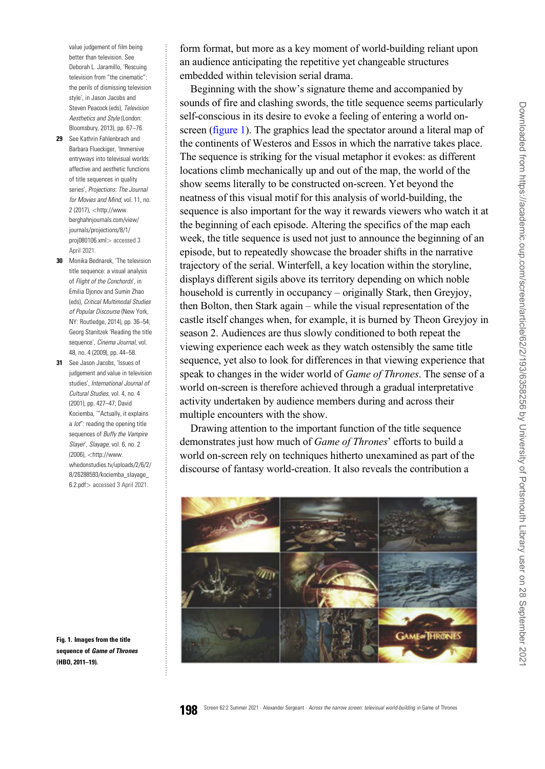value judgement of film being better than television. See Deborah L. Jaramillo, 'Rescuing television from "the cinematic": the perils of dismissing television style', in Jason Jacobs and Steven Peacock (eds), Television Aesthetics and Style (London: Bloomsbury, 2013), pp. 67–76.

. .

.

- 29 See Kathrin Fahlenbrach and Barbara Flueckiger, 'Immersive entryways into televisual worlds: affective and aesthetic functions of title sequences in quality series', Projections: The Journal for Movies and Mind, vol. 11, no. 2 (2017), <[http://www.](http://www.berghahnjournals.com/view/journals/projections/8/1/proj080106.xml) [berghahnjournals.com/view/](http://www.berghahnjournals.com/view/journals/projections/8/1/proj080106.xml) [journals/projections/8/1/](http://www.berghahnjournals.com/view/journals/projections/8/1/proj080106.xml) [proj080106.xml](http://www.berghahnjournals.com/view/journals/projections/8/1/proj080106.xml)> accessed 3 April 2021.
- 30 Monika Bednarek, 'The television title sequence: a visual analysis of Flight of the Conchords', in Emilia Djonov and Sumin Zhao (eds), Critical Multimodal Studies of Popular Discourse (New York, NY: Routledge, 2014), pp. 36–54; Georg Stanitzek 'Reading the title sequence', Cinema Journal, vol. 48, no. 4 (2009), pp. 44–58.
- 31 See Jason Jacobs, 'Issues of judgement and value in television studies', International Journal of Cultural Studies vol. 4, no. 4 (2001), pp. 427–47; David Kociemba, '"Actually, it explains a lot": reading the opening title sequences of Buffy the Vampire Slayer', Slayage, vol. 6, no. 2 (2006), <[http://www.](http://www.whedonstudies.tv/uploads/2/6/2/8/26288593/kociemba_slayage_6.2.pdf) [whedonstudies.tv/uploads/2/6/2/](http://www.whedonstudies.tv/uploads/2/6/2/8/26288593/kociemba_slayage_6.2.pdf) [8/26288593/kociemba\\_slayage\\_](http://www.whedonstudies.tv/uploads/2/6/2/8/26288593/kociemba_slayage_6.2.pdf) [6.2.pdf](http://www.whedonstudies.tv/uploads/2/6/2/8/26288593/kociemba_slayage_6.2.pdf)> accessed 3 April 2021.

. . . . . . . . . . . . . . . . . . . . . . . . . . . . . . . . . . . . . . . . . . . . . . . . . . . . . . . . . . . .

Fig. 1. Images from the title sequence of Game of Thrones (HBO, 2011–19).

. form format, but more as a key moment of world-building reliant upon an audience anticipating the repetitive yet changeable structures embedded within television serial drama.

Beginning with the show's signature theme and accompanied by sounds of fire and clashing swords, the title sequence seems particularly self-conscious in its desire to evoke a feeling of entering a world onscreen (figure 1). The graphics lead the spectator around a literal map of the continents of Westeros and Essos in which the narrative takes place. The sequence is striking for the visual metaphor it evokes: as different locations climb mechanically up and out of the map, the world of the show seems literally to be constructed on-screen. Yet beyond the neatness of this visual motif for this analysis of world-building, the sequence is also important for the way it rewards viewers who watch it at the beginning of each episode. Altering the specifics of the map each week, the title sequence is used not just to announce the beginning of an episode, but to repeatedly showcase the broader shifts in the narrative trajectory of the serial. Winterfell, a key location within the storyline, displays different sigils above its territory depending on which noble household is currently in occupancy – originally Stark, then Greyjoy, then Bolton, then Stark again – while the visual representation of the castle itself changes when, for example, it is burned by Theon Greyjoy in season 2. Audiences are thus slowly conditioned to both repeat the viewing experience each week as they watch ostensibly the same title sequence, yet also to look for differences in that viewing experience that speak to changes in the wider world of Game of Thrones. The sense of a world on-screen is therefore achieved through a gradual interpretative activity undertaken by audience members during and across their multiple encounters with the show.

Drawing attention to the important function of the title sequence demonstrates just how much of Game of Thrones' efforts to build a world on-screen rely on techniques hitherto unexamined as part of the discourse of fantasy world-creation. It also reveals the contribution a



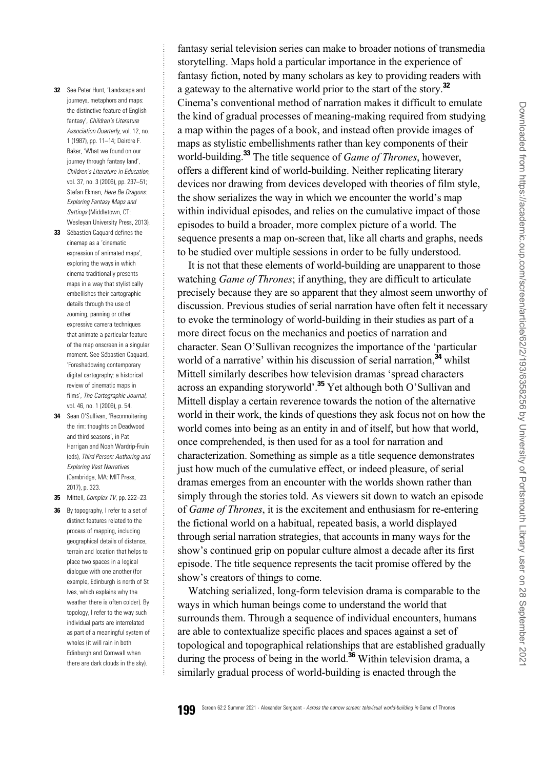- 32 See Peter Hunt, 'Landscape and journeys, metaphors and maps: the distinctive feature of English fantasy', Children's Literature Association Quarterly, vol. 12, no. 1 (1987), pp. 11–14; Deirdre F. Baker, 'What we found on our journey through fantasy land', Children's Literature in Education, vol. 37, no. 3 (2006), pp. 237–51; Stefan Ekman, Here Be Dragons: Exploring Fantasy Maps and Settings (Middletown, CT: Wesleyan University Press, 2013).
- 33 Sébastien Caquard defines the cinemap as a 'cinematic expression of animated maps', exploring the ways in which cinema traditionally presents maps in a way that stylistically embellishes their cartographic details through the use of zooming, panning or other expressive camera techniques that animate a particular feature of the map onscreen in a singular moment. See Sébastien Caquard, 'Foreshadowing contemporary digital cartography: a historical review of cinematic maps in films', The Cartographic Journal, vol. 46, no. 1 (2009), p. 54.
- 34 Sean O'Sullivan, 'Reconnoitering the rim: thoughts on Deadwood and third seasons', in Pat Harrigan and Noah Wardrip-Fruin (eds), Third Person: Authoring and Exploring Vast Narratives (Cambridge, MA: MIT Press, 2017), p. 323.
- 35 Mittell, *Complex TV*, pp. 222-23.
- 36 By topography, I refer to a set of distinct features related to the process of mapping, including geographical details of distance, terrain and location that helps to place two spaces in a logical dialogue with one another (for example, Edinburgh is north of St Ives, which explains why the weather there is often colder). By topology, I refer to the way such individual parts are interrelated as part of a meaningful system of wholes (it will rain in both Edinburgh and Cornwall when there are dark clouds in the sky).

. fantasy serial television series can make to broader notions of transmedia storytelling. Maps hold a particular importance in the experience of fantasy fiction, noted by many scholars as key to providing readers with a gateway to the alternative world prior to the start of the story.<sup>32</sup> Cinema's conventional method of narration makes it difficult to emulate the kind of gradual processes of meaning-making required from studying a map within the pages of a book, and instead often provide images of maps as stylistic embellishments rather than key components of their world-building.<sup>33</sup> The title sequence of *Game of Thrones*, however, offers a different kind of world-building. Neither replicating literary devices nor drawing from devices developed with theories of film style, the show serializes the way in which we encounter the world's map within individual episodes, and relies on the cumulative impact of those episodes to build a broader, more complex picture of a world. The sequence presents a map on-screen that, like all charts and graphs, needs to be studied over multiple sessions in order to be fully understood.

It is not that these elements of world-building are unapparent to those watching *Game of Thrones*; if anything, they are difficult to articulate precisely because they are so apparent that they almost seem unworthy of discussion. Previous studies of serial narration have often felt it necessary to evoke the terminology of world-building in their studies as part of a more direct focus on the mechanics and poetics of narration and character. Sean O'Sullivan recognizes the importance of the 'particular world of a narrative' within his discussion of serial narration,<sup>34</sup> whilst Mittell similarly describes how television dramas 'spread characters across an expanding storyworld'.<sup>35</sup> Yet although both O'Sullivan and Mittell display a certain reverence towards the notion of the alternative world in their work, the kinds of questions they ask focus not on how the world comes into being as an entity in and of itself, but how that world, once comprehended, is then used for as a tool for narration and characterization. Something as simple as a title sequence demonstrates just how much of the cumulative effect, or indeed pleasure, of serial dramas emerges from an encounter with the worlds shown rather than simply through the stories told. As viewers sit down to watch an episode of Game of Thrones, it is the excitement and enthusiasm for re-entering the fictional world on a habitual, repeated basis, a world displayed through serial narration strategies, that accounts in many ways for the show's continued grip on popular culture almost a decade after its first episode. The title sequence represents the tacit promise offered by the show's creators of things to come.

Watching serialized, long-form television drama is comparable to the ways in which human beings come to understand the world that surrounds them. Through a sequence of individual encounters, humans are able to contextualize specific places and spaces against a set of topological and topographical relationships that are established gradually during the process of being in the world.<sup>36</sup> Within television drama, a similarly gradual process of world-building is enacted through the

. . . . . . . . . . .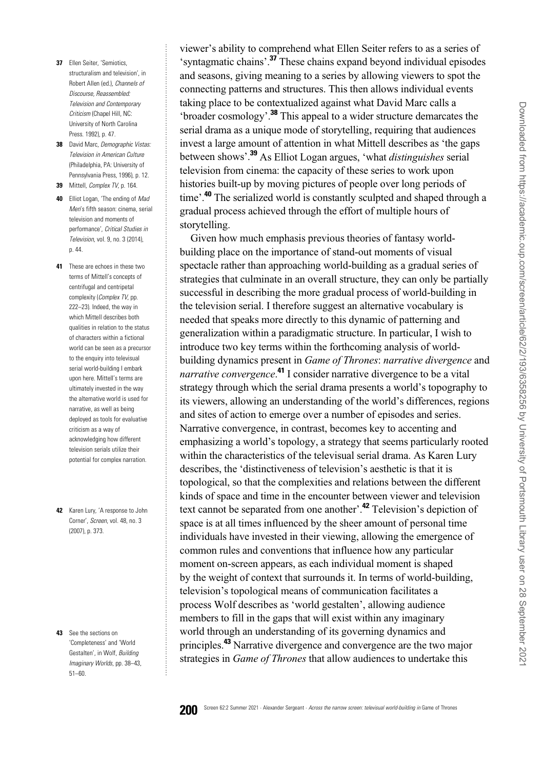37 Ellen Seiter, 'Semintics structuralism and television', in Robert Allen (ed.), Channels of Discourse, Reassembled: Television and Contemporary Criticism (Chanel Hill, NC: University of North Carolina Press. 1992), p. 47.

. .

.

- 38 David Marc, Demographic Vistas: Television in American Culture (Philadelphia, PA: University of Pennsylvania Press, 1996), p. 12. 39 Mittell, Complex TV, p. 164.
- 
- 40 Elliot Logan, 'The ending of Mad Men's fifth season: cinema, serial television and moments of performance', Critical Studies in Television, vol. 9, no. 3 (2014), p. 44.
- 41 These are echoes in these two terms of Mittell's concepts of centrifugal and centripetal complexity (Complex TV, pp. 222–23). Indeed, the way in which Mittell describes both qualities in relation to the status of characters within a fictional world can be seen as a precursor to the enquiry into televisual serial world-building I embark upon here. Mittell's terms are ultimately invested in the way the alternative world is used for narrative, as well as being deployed as tools for evaluative criticism as a way of acknowledging how different television serials utilize their potential for complex narration.
- 42 Karen Lury, 'A response to John Corner', Screen, vol. 48, no. 3 (2007), p. 373.

43 See the sections on 'Completeness' and 'World Gestalten', in Wolf, Building Imaginary Worlds, pp. 38–43, 51–60.

. . . . . . . . . . . . . . . . . . . . . . . . . . . . . . . . . . . . . . . . . . . . . . . . . . . . . . . . . . . . . . . . . . . . . . . . . . . . . . . . . . . . . . . . . . . . . . . . . . . . . . . . . . . . . . . . . . . . . . . . viewer's ability to comprehend what Ellen Seiter refers to as a series of 'syntagmatic chains'.<sup>37</sup> These chains expand beyond individual episodes and seasons, giving meaning to a series by allowing viewers to spot the connecting patterns and structures. This then allows individual events taking place to be contextualized against what David Marc calls a 'broader cosmology'.<sup>38</sup> This appeal to a wider structure demarcates the serial drama as a unique mode of storytelling, requiring that audiences invest a large amount of attention in what Mittell describes as 'the gaps between shows'.<sup>39</sup> As Elliot Logan argues, 'what distinguishes serial television from cinema: the capacity of these series to work upon histories built-up by moving pictures of people over long periods of time'.<sup>40</sup> The serialized world is constantly sculpted and shaped through a gradual process achieved through the effort of multiple hours of storytelling.

Given how much emphasis previous theories of fantasy worldbuilding place on the importance of stand-out moments of visual spectacle rather than approaching world-building as a gradual series of strategies that culminate in an overall structure, they can only be partially successful in describing the more gradual process of world-building in the television serial. I therefore suggest an alternative vocabulary is needed that speaks more directly to this dynamic of patterning and generalization within a paradigmatic structure. In particular, I wish to introduce two key terms within the forthcoming analysis of worldbuilding dynamics present in Game of Thrones: narrative divergence and narrative convergence.<sup>41</sup> I consider narrative divergence to be a vital strategy through which the serial drama presents a world's topography to its viewers, allowing an understanding of the world's differences, regions and sites of action to emerge over a number of episodes and series. Narrative convergence, in contrast, becomes key to accenting and emphasizing a world's topology, a strategy that seems particularly rooted within the characteristics of the televisual serial drama. As Karen Lury describes, the 'distinctiveness of television's aesthetic is that it is topological, so that the complexities and relations between the different kinds of space and time in the encounter between viewer and television text cannot be separated from one another'.<sup>42</sup> Television's depiction of space is at all times influenced by the sheer amount of personal time individuals have invested in their viewing, allowing the emergence of common rules and conventions that influence how any particular moment on-screen appears, as each individual moment is shaped by the weight of context that surrounds it. In terms of world-building, television's topological means of communication facilitates a process Wolf describes as 'world gestalten', allowing audience members to fill in the gaps that will exist within any imaginary world through an understanding of its governing dynamics and principles.<sup>43</sup> Narrative divergence and convergence are the two major strategies in Game of Thrones that allow audiences to undertake this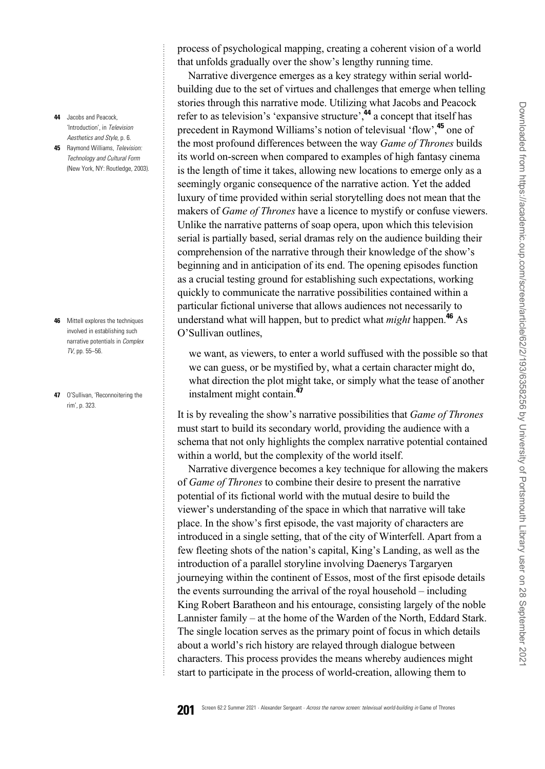- 44 Jacobs and Peacock 'Introduction', in Television Aesthetics and Style, p. 6.
- 45 Raymond Williams, Television: Technology and Cultural Form (New York, NY: Routledge, 2003).

- 46 Mittell explores the techniques involved in establishing such narrative potentials in Complex TV, pp. 55–56.
- 47 O'Sullivan, 'Reconnoitering the rim' n 323.

. process of psychological mapping, creating a coherent vision of a world that unfolds gradually over the show's lengthy running time.

Narrative divergence emerges as a key strategy within serial worldbuilding due to the set of virtues and challenges that emerge when telling stories through this narrative mode. Utilizing what Jacobs and Peacock refer to as television's 'expansive structure',<sup>44</sup> a concept that itself has precedent in Raymond Williams's notion of televisual 'flow',<sup>45</sup> one of the most profound differences between the way Game of Thrones builds its world on-screen when compared to examples of high fantasy cinema is the length of time it takes, allowing new locations to emerge only as a seemingly organic consequence of the narrative action. Yet the added luxury of time provided within serial storytelling does not mean that the makers of Game of Thrones have a licence to mystify or confuse viewers. Unlike the narrative patterns of soap opera, upon which this television serial is partially based, serial dramas rely on the audience building their comprehension of the narrative through their knowledge of the show's beginning and in anticipation of its end. The opening episodes function as a crucial testing ground for establishing such expectations, working quickly to communicate the narrative possibilities contained within a particular fictional universe that allows audiences not necessarily to understand what will happen, but to predict what *might* happen.<sup>46</sup> As O'Sullivan outlines,

we want, as viewers, to enter a world suffused with the possible so that we can guess, or be mystified by, what a certain character might do, what direction the plot might take, or simply what the tease of another instalment might contain.<sup>47</sup>

It is by revealing the show's narrative possibilities that Game of Thrones must start to build its secondary world, providing the audience with a schema that not only highlights the complex narrative potential contained within a world, but the complexity of the world itself.

Narrative divergence becomes a key technique for allowing the makers of Game of Thrones to combine their desire to present the narrative potential of its fictional world with the mutual desire to build the viewer's understanding of the space in which that narrative will take place. In the show's first episode, the vast majority of characters are introduced in a single setting, that of the city of Winterfell. Apart from a few fleeting shots of the nation's capital, King's Landing, as well as the introduction of a parallel storyline involving Daenerys Targaryen journeying within the continent of Essos, most of the first episode details the events surrounding the arrival of the royal household – including King Robert Baratheon and his entourage, consisting largely of the noble Lannister family – at the home of the Warden of the North, Eddard Stark. The single location serves as the primary point of focus in which details about a world's rich history are relayed through dialogue between characters. This process provides the means whereby audiences might start to participate in the process of world-creation, allowing them to

. . . . . . . . . . .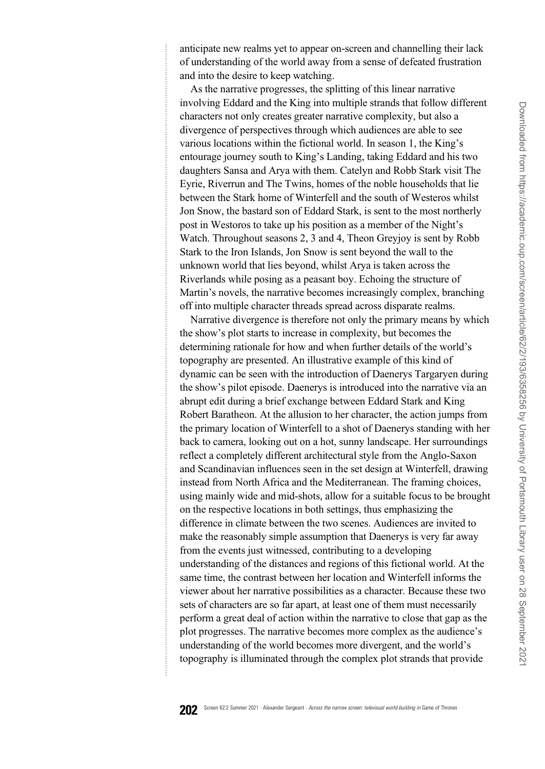. anticipate new realms yet to appear on-screen and channelling their lack of understanding of the world away from a sense of defeated frustration and into the desire to keep watching.

As the narrative progresses, the splitting of this linear narrative involving Eddard and the King into multiple strands that follow different characters not only creates greater narrative complexity, but also a divergence of perspectives through which audiences are able to see various locations within the fictional world. In season 1, the King's entourage journey south to King's Landing, taking Eddard and his two daughters Sansa and Arya with them. Catelyn and Robb Stark visit The Eyrie, Riverrun and The Twins, homes of the noble households that lie between the Stark home of Winterfell and the south of Westeros whilst Jon Snow, the bastard son of Eddard Stark, is sent to the most northerly post in Westoros to take up his position as a member of the Night's Watch. Throughout seasons 2, 3 and 4, Theon Greyjoy is sent by Robb Stark to the Iron Islands, Jon Snow is sent beyond the wall to the unknown world that lies beyond, whilst Arya is taken across the Riverlands while posing as a peasant boy. Echoing the structure of Martin's novels, the narrative becomes increasingly complex, branching off into multiple character threads spread across disparate realms.

Narrative divergence is therefore not only the primary means by which the show's plot starts to increase in complexity, but becomes the determining rationale for how and when further details of the world's topography are presented. An illustrative example of this kind of dynamic can be seen with the introduction of Daenerys Targaryen during the show's pilot episode. Daenerys is introduced into the narrative via an abrupt edit during a brief exchange between Eddard Stark and King Robert Baratheon. At the allusion to her character, the action jumps from the primary location of Winterfell to a shot of Daenerys standing with her back to camera, looking out on a hot, sunny landscape. Her surroundings reflect a completely different architectural style from the Anglo-Saxon and Scandinavian influences seen in the set design at Winterfell, drawing instead from North Africa and the Mediterranean. The framing choices, using mainly wide and mid-shots, allow for a suitable focus to be brought on the respective locations in both settings, thus emphasizing the difference in climate between the two scenes. Audiences are invited to make the reasonably simple assumption that Daenerys is very far away from the events just witnessed, contributing to a developing understanding of the distances and regions of this fictional world. At the same time, the contrast between her location and Winterfell informs the viewer about her narrative possibilities as a character. Because these two sets of characters are so far apart, at least one of them must necessarily perform a great deal of action within the narrative to close that gap as the plot progresses. The narrative becomes more complex as the audience's understanding of the world becomes more divergent, and the world's topography is illuminated through the complex plot strands that provide



. . . . . . . . . . . . . . . . . . . . . . . . . . . . . . . . . . . . . . . . . . . . . . . . . . . . . . . . . . . . . . . . . . . . . . . . . . . . . . . . . . . . . . . . . . . . . . . . . . . . . . . . . . . . . . . . . . . . . . .

. .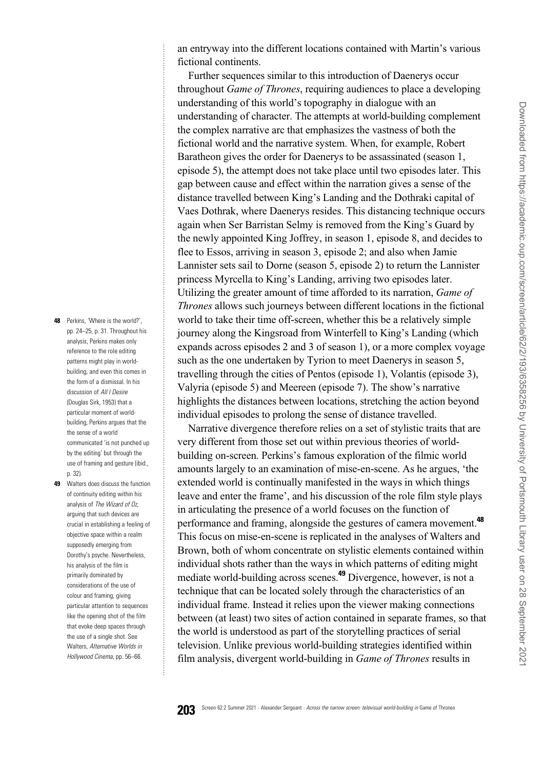. an entryway into the different locations contained with Martin's various fictional continents.

Further sequences similar to this introduction of Daenerys occur throughout *Game of Thrones*, requiring audiences to place a developing understanding of this world's topography in dialogue with an understanding of character. The attempts at world-building complement the complex narrative arc that emphasizes the vastness of both the fictional world and the narrative system. When, for example, Robert Baratheon gives the order for Daenerys to be assassinated (season 1, episode 5), the attempt does not take place until two episodes later. This gap between cause and effect within the narration gives a sense of the distance travelled between King's Landing and the Dothraki capital of Vaes Dothrak, where Daenerys resides. This distancing technique occurs again when Ser Barristan Selmy is removed from the King's Guard by the newly appointed King Joffrey, in season 1, episode 8, and decides to flee to Essos, arriving in season 3, episode 2; and also when Jamie Lannister sets sail to Dorne (season 5, episode 2) to return the Lannister princess Myrcella to King's Landing, arriving two episodes later. Utilizing the greater amount of time afforded to its narration, Game of Thrones allows such journeys between different locations in the fictional world to take their time off-screen, whether this be a relatively simple journey along the Kingsroad from Winterfell to King's Landing (which expands across episodes 2 and 3 of season 1), or a more complex voyage such as the one undertaken by Tyrion to meet Daenerys in season 5, travelling through the cities of Pentos (episode 1), Volantis (episode 3), Valyria (episode 5) and Meereen (episode 7). The show's narrative highlights the distances between locations, stretching the action beyond individual episodes to prolong the sense of distance travelled.

Narrative divergence therefore relies on a set of stylistic traits that are very different from those set out within previous theories of worldbuilding on-screen. Perkins's famous exploration of the filmic world amounts largely to an examination of mise-en-scene. As he argues, 'the extended world is continually manifested in the ways in which things leave and enter the frame', and his discussion of the role film style plays in articulating the presence of a world focuses on the function of performance and framing, alongside the gestures of camera movement.<sup>48</sup> This focus on mise-en-scene is replicated in the analyses of Walters and Brown, both of whom concentrate on stylistic elements contained within individual shots rather than the ways in which patterns of editing might mediate world-building across scenes.<sup>49</sup> Divergence, however, is not a technique that can be located solely through the characteristics of an individual frame. Instead it relies upon the viewer making connections between (at least) two sites of action contained in separate frames, so that the world is understood as part of the storytelling practices of serial television. Unlike previous world-building strategies identified within film analysis, divergent world-building in Game of Thrones results in

48 Perkins, 'Where is the world?', pp. 24–25, p. 31. Throughout his analysis, Perkins makes only reference to the role editing patterns might play in worldbuilding, and even this comes in the form of a dismissal. In his discussion of All I Desire (Douglas Sirk, 1953) that a particular moment of worldbuilding, Perkins argues that the the sense of a world communicated 'is not punched up by the editing' but through the use of framing and gesture (ibid., p. 32).

49 Walters does discuss the function of continuity editing within his analysis of The Wizard of Oz, arguing that such devices are crucial in establishing a feeling of objective space within a realm supposedly emerging from Dorothy's psyche. Nevertheless, his analysis of the film is primarily dominated by considerations of the use of colour and framing, giving particular attention to sequences like the opening shot of the film that evoke deep spaces through the use of a single shot. See Walters, Alternative Worlds in Hollywood Cinema, pp. 56–66.

. . . . . . . . . . .

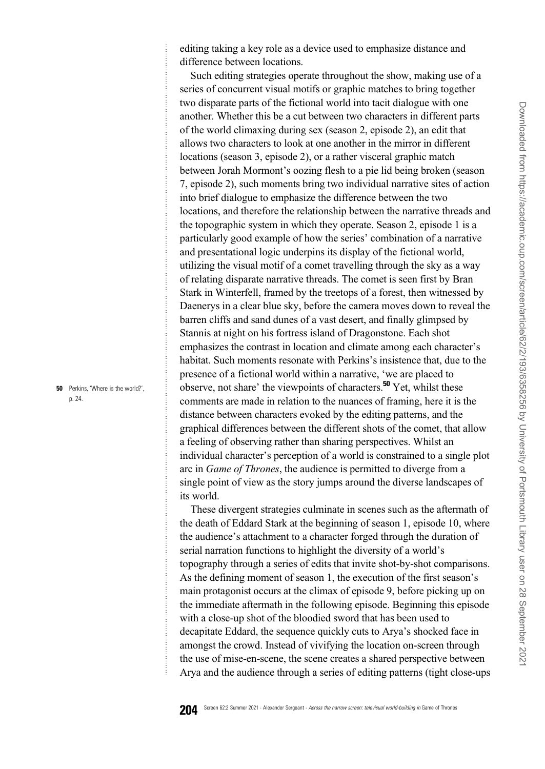. editing taking a key role as a device used to emphasize distance and difference between locations.

Such editing strategies operate throughout the show, making use of a series of concurrent visual motifs or graphic matches to bring together two disparate parts of the fictional world into tacit dialogue with one another. Whether this be a cut between two characters in different parts of the world climaxing during sex (season 2, episode 2), an edit that allows two characters to look at one another in the mirror in different locations (season 3, episode 2), or a rather visceral graphic match between Jorah Mormont's oozing flesh to a pie lid being broken (season 7, episode 2), such moments bring two individual narrative sites of action into brief dialogue to emphasize the difference between the two locations, and therefore the relationship between the narrative threads and the topographic system in which they operate. Season 2, episode 1 is a particularly good example of how the series' combination of a narrative and presentational logic underpins its display of the fictional world, utilizing the visual motif of a comet travelling through the sky as a way of relating disparate narrative threads. The comet is seen first by Bran Stark in Winterfell, framed by the treetops of a forest, then witnessed by Daenerys in a clear blue sky, before the camera moves down to reveal the barren cliffs and sand dunes of a vast desert, and finally glimpsed by Stannis at night on his fortress island of Dragonstone. Each shot emphasizes the contrast in location and climate among each character's habitat. Such moments resonate with Perkins's insistence that, due to the presence of a fictional world within a narrative, 'we are placed to observe, not share' the viewpoints of characters.<sup>50</sup> Yet, whilst these comments are made in relation to the nuances of framing, here it is the distance between characters evoked by the editing patterns, and the graphical differences between the different shots of the comet, that allow a feeling of observing rather than sharing perspectives. Whilst an individual character's perception of a world is constrained to a single plot arc in Game of Thrones, the audience is permitted to diverge from a single point of view as the story jumps around the diverse landscapes of its world.

These divergent strategies culminate in scenes such as the aftermath of the death of Eddard Stark at the beginning of season 1, episode 10, where the audience's attachment to a character forged through the duration of serial narration functions to highlight the diversity of a world's topography through a series of edits that invite shot-by-shot comparisons. As the defining moment of season 1, the execution of the first season's main protagonist occurs at the climax of episode 9, before picking up on the immediate aftermath in the following episode. Beginning this episode with a close-up shot of the bloodied sword that has been used to decapitate Eddard, the sequence quickly cuts to Arya's shocked face in amongst the crowd. Instead of vivifying the location on-screen through the use of mise-en-scene, the scene creates a shared perspective between Arya and the audience through a series of editing patterns (tight close-ups

50 Perkins, 'Where is the world?', p. 24.

. . . . . . . . . . . . . . . . . . . . . . . . . . . . . . . . . . . . . . . . . . . . . . . . . . . . . . . . . . . . . . . . . . . . . . . . . . . . . . . . . . . . . . . . . . . . . . . . . . . . . . . . . . . . . . . . . . . . . . .

. .

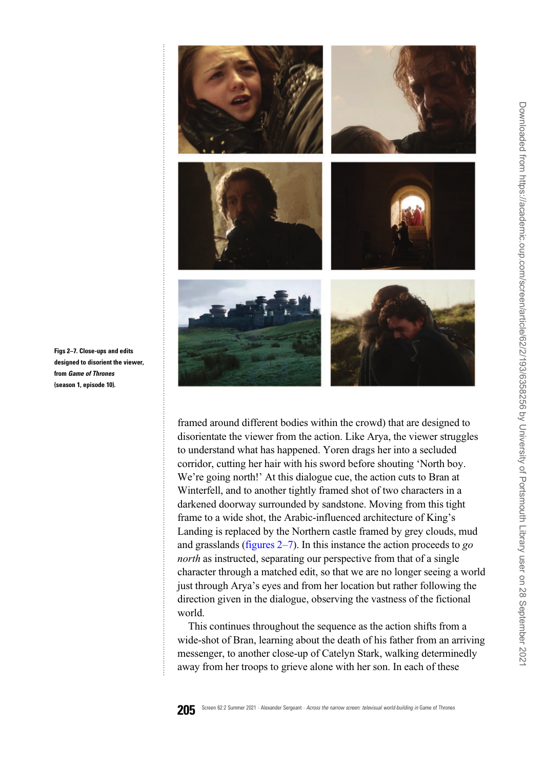

framed around different bodies within the crowd) that are designed to disorientate the viewer from the action. Like Arya, the viewer struggles to understand what has happened. Yoren drags her into a secluded corridor, cutting her hair with his sword before shouting 'North boy. We're going north!' At this dialogue cue, the action cuts to Bran at Winterfell, and to another tightly framed shot of two characters in a darkened doorway surrounded by sandstone. Moving from this tight frame to a wide shot, the Arabic-influenced architecture of King's Landing is replaced by the Northern castle framed by grey clouds, mud and grasslands (figures  $2-7$ ). In this instance the action proceeds to go north as instructed, separating our perspective from that of a single character through a matched edit, so that we are no longer seeing a world just through Arya's eyes and from her location but rather following the direction given in the dialogue, observing the vastness of the fictional world.

This continues throughout the sequence as the action shifts from a wide-shot of Bran, learning about the death of his father from an arriving messenger, to another close-up of Catelyn Stark, walking determinedly away from her troops to grieve alone with her son. In each of these

Figs 2–7. Close-ups and edits designed to disorient the viewer, from Game of Thrones (season 1, episode 10).

. . . . . . . . . . .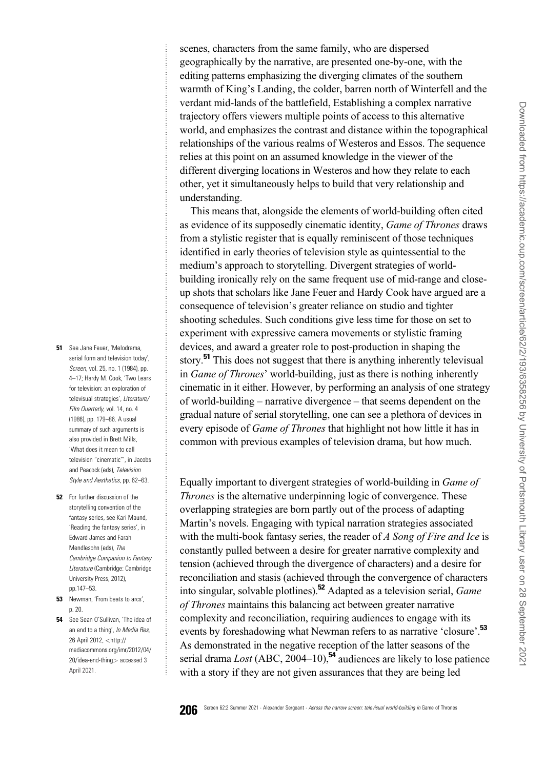. scenes, characters from the same family, who are dispersed geographically by the narrative, are presented one-by-one, with the editing patterns emphasizing the diverging climates of the southern warmth of King's Landing, the colder, barren north of Winterfell and the verdant mid-lands of the battlefield, Establishing a complex narrative trajectory offers viewers multiple points of access to this alternative world, and emphasizes the contrast and distance within the topographical relationships of the various realms of Westeros and Essos. The sequence relies at this point on an assumed knowledge in the viewer of the different diverging locations in Westeros and how they relate to each other, yet it simultaneously helps to build that very relationship and understanding.

This means that, alongside the elements of world-building often cited as evidence of its supposedly cinematic identity, Game of Thrones draws from a stylistic register that is equally reminiscent of those techniques identified in early theories of television style as quintessential to the medium's approach to storytelling. Divergent strategies of worldbuilding ironically rely on the same frequent use of mid-range and closeup shots that scholars like Jane Feuer and Hardy Cook have argued are a consequence of television's greater reliance on studio and tighter shooting schedules. Such conditions give less time for those on set to experiment with expressive camera movements or stylistic framing devices, and award a greater role to post-production in shaping the story.<sup>51</sup> This does not suggest that there is anything inherently televisual in Game of Thrones' world-building, just as there is nothing inherently cinematic in it either. However, by performing an analysis of one strategy of world-building – narrative divergence – that seems dependent on the gradual nature of serial storytelling, one can see a plethora of devices in every episode of Game of Thrones that highlight not how little it has in common with previous examples of television drama, but how much.

Equally important to divergent strategies of world-building in Game of Thrones is the alternative underpinning logic of convergence. These overlapping strategies are born partly out of the process of adapting Martin's novels. Engaging with typical narration strategies associated with the multi-book fantasy series, the reader of  $A$  Song of Fire and Ice is constantly pulled between a desire for greater narrative complexity and tension (achieved through the divergence of characters) and a desire for reconciliation and stasis (achieved through the convergence of characters into singular, solvable plotlines).<sup>52</sup> Adapted as a television serial, Game of Thrones maintains this balancing act between greater narrative complexity and reconciliation, requiring audiences to engage with its events by foreshadowing what Newman refers to as narrative 'closure'.<sup>53</sup> As demonstrated in the negative reception of the latter seasons of the serial drama Lost (ABC, 2004–10),<sup>54</sup> audiences are likely to lose patience with a story if they are not given assurances that they are being led

- 51 See Jane Feuer, 'Melodrama, serial form and television today', Screen, vol. 25, no. 1 (1984), pp. 4–17; Hardy M. Cook, 'Two Lears for television: an exploration of televisual strategies', Literature/ Film Quarterly, vol. 14, no. 4 (1986), pp. 179–86. A usual summary of such arguments is also provided in Brett Mills, 'What does it mean to call television "cinematic"', in Jacobs and Peacock (eds), Television Style and Aesthetics, pp. 62–63.
- **52** For further discussion of the storytelling convention of the fantasy series, see Kari Maund, 'Reading the fantasy series', in Edward James and Farah Mendlesohn (eds), The Cambridge Companion to Fantasy Literature (Cambridge: Cambridge University Press, 2012), pp.147–53.
- 53 Newman, 'From beats to arcs', p. 20.
- 54 See Sean O'Sullivan, 'The idea of an end to a thing', In Media Res, 26 April 2012, <[http://](http://mediacommons.org/imr/2012/04/20/idea-end-thing) [mediacommons.org/imr/2012/04/](http://mediacommons.org/imr/2012/04/20/idea-end-thing) [20/idea-end-thing](http://mediacommons.org/imr/2012/04/20/idea-end-thing)> accessed 3 April 2021.

. . . . . . . . . . . . . . . . . . . . . . . . . . . . . . . . . . . . . . . . . . . . . . . . . . . . . . . . . . . . . . . . . . . . . . . . . . . . . . . . . . . . . . . . . . . . . . . . . . . . . . . . . . . . . . . . . . . . . . .

. .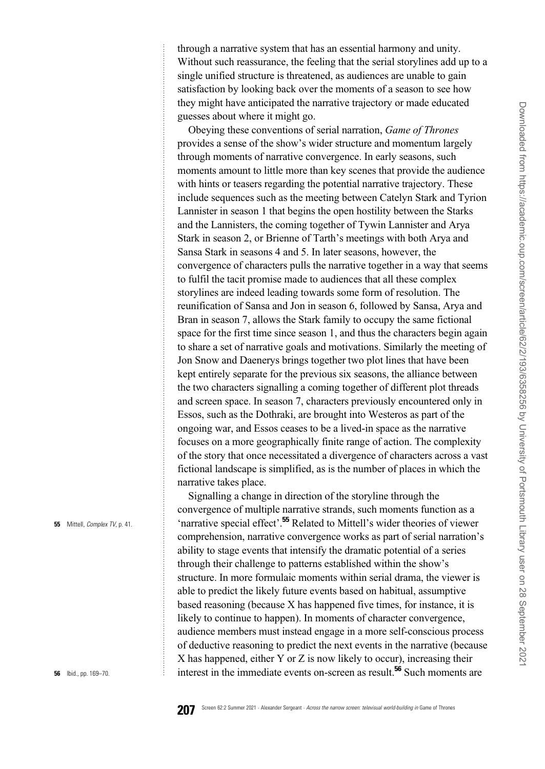. through a narrative system that has an essential harmony and unity. Without such reassurance, the feeling that the serial storylines add up to a single unified structure is threatened, as audiences are unable to gain satisfaction by looking back over the moments of a season to see how they might have anticipated the narrative trajectory or made educated guesses about where it might go.

Obeying these conventions of serial narration, Game of Thrones provides a sense of the show's wider structure and momentum largely through moments of narrative convergence. In early seasons, such moments amount to little more than key scenes that provide the audience with hints or teasers regarding the potential narrative trajectory. These include sequences such as the meeting between Catelyn Stark and Tyrion Lannister in season 1 that begins the open hostility between the Starks and the Lannisters, the coming together of Tywin Lannister and Arya Stark in season 2, or Brienne of Tarth's meetings with both Arya and Sansa Stark in seasons 4 and 5. In later seasons, however, the convergence of characters pulls the narrative together in a way that seems to fulfil the tacit promise made to audiences that all these complex storylines are indeed leading towards some form of resolution. The reunification of Sansa and Jon in season 6, followed by Sansa, Arya and Bran in season 7, allows the Stark family to occupy the same fictional space for the first time since season 1, and thus the characters begin again to share a set of narrative goals and motivations. Similarly the meeting of Jon Snow and Daenerys brings together two plot lines that have been kept entirely separate for the previous six seasons, the alliance between the two characters signalling a coming together of different plot threads and screen space. In season 7, characters previously encountered only in Essos, such as the Dothraki, are brought into Westeros as part of the ongoing war, and Essos ceases to be a lived-in space as the narrative focuses on a more geographically finite range of action. The complexity of the story that once necessitated a divergence of characters across a vast fictional landscape is simplified, as is the number of places in which the narrative takes place.

Signalling a change in direction of the storyline through the convergence of multiple narrative strands, such moments function as a 'narrative special effect'.<sup>55</sup> Related to Mittell's wider theories of viewer comprehension, narrative convergence works as part of serial narration's ability to stage events that intensify the dramatic potential of a series through their challenge to patterns established within the show's structure. In more formulaic moments within serial drama, the viewer is able to predict the likely future events based on habitual, assumptive based reasoning (because X has happened five times, for instance, it is likely to continue to happen). In moments of character convergence, audience members must instead engage in a more self-conscious process of deductive reasoning to predict the next events in the narrative (because X has happened, either Y or Z is now likely to occur), increasing their interest in the immediate events on-screen as result.<sup>56</sup> Such moments are

55 Mittell, Complex TV, p. 41.

56 Ibid., pp. 169–70.

. . . . . . . . . . .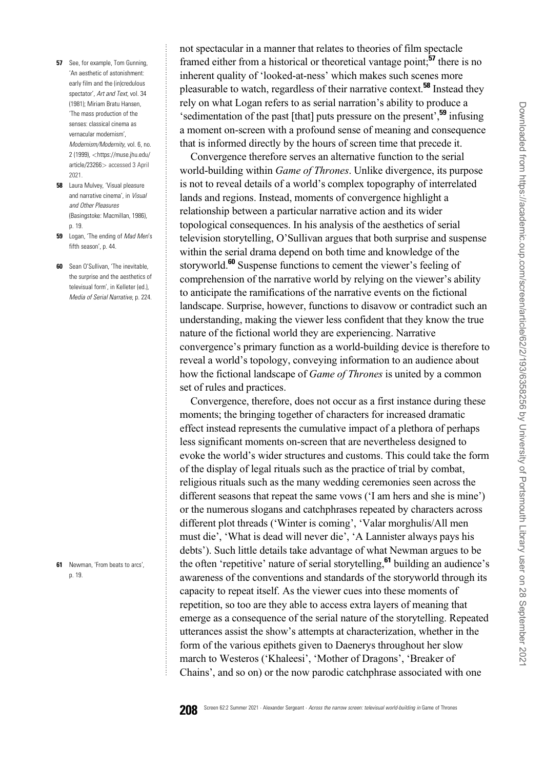57 See, for example, Tom Gunning, 'An aesthetic of astonishment: early film and the (in)credulous spectator', Art and Text, vol. 34 (1981); Miriam Bratu Hansen, 'The mass production of the senses: classical cinema as vernacular modernism', Modernism/Modernity, vol. 6, no. 2 (1999), <[https://muse.jhu.edu/](https://muse.jhu.edu/article/23266) [article/23266](https://muse.jhu.edu/article/23266)> accessed 3 April 2021.

. .

.

- **58** Laura Mulvey, 'Visual pleasure and narrative cinema', in Visual and Other Pleasures (Basingstoke: Macmillan, 1986), p. 19.
- 59 Logan, 'The ending of *Mad Men's* fifth season', p. 44.
- 60 Sean O'Sullivan, 'The inevitable, the surprise and the aesthetics of televisual form', in Kelleter (ed.), Media of Serial Narrative, p. 224.

61 Newman, 'From beats to arcs' p. 19.

. not spectacular in a manner that relates to theories of film spectacle framed either from a historical or theoretical vantage point:<sup>57</sup> there is no inherent quality of 'looked-at-ness' which makes such scenes more pleasurable to watch, regardless of their narrative context.<sup>58</sup> Instead they rely on what Logan refers to as serial narration's ability to produce a 'sedimentation of the past [that] puts pressure on the present',<sup>59</sup> infusing a moment on-screen with a profound sense of meaning and consequence that is informed directly by the hours of screen time that precede it.

Convergence therefore serves an alternative function to the serial world-building within Game of Thrones. Unlike divergence, its purpose is not to reveal details of a world's complex topography of interrelated lands and regions. Instead, moments of convergence highlight a relationship between a particular narrative action and its wider topological consequences. In his analysis of the aesthetics of serial television storytelling, O'Sullivan argues that both surprise and suspense within the serial drama depend on both time and knowledge of the storyworld.<sup>60</sup> Suspense functions to cement the viewer's feeling of comprehension of the narrative world by relying on the viewer's ability to anticipate the ramifications of the narrative events on the fictional landscape. Surprise, however, functions to disavow or contradict such an understanding, making the viewer less confident that they know the true nature of the fictional world they are experiencing. Narrative convergence's primary function as a world-building device is therefore to reveal a world's topology, conveying information to an audience about how the fictional landscape of Game of Thrones is united by a common set of rules and practices.

Convergence, therefore, does not occur as a first instance during these moments; the bringing together of characters for increased dramatic effect instead represents the cumulative impact of a plethora of perhaps less significant moments on-screen that are nevertheless designed to evoke the world's wider structures and customs. This could take the form of the display of legal rituals such as the practice of trial by combat, religious rituals such as the many wedding ceremonies seen across the different seasons that repeat the same vows ('I am hers and she is mine') or the numerous slogans and catchphrases repeated by characters across different plot threads ('Winter is coming', 'Valar morghulis/All men must die', 'What is dead will never die', 'A Lannister always pays his debts'). Such little details take advantage of what Newman argues to be the often 'repetitive' nature of serial storytelling,<sup>61</sup> building an audience's awareness of the conventions and standards of the storyworld through its capacity to repeat itself. As the viewer cues into these moments of repetition, so too are they able to access extra layers of meaning that emerge as a consequence of the serial nature of the storytelling. Repeated utterances assist the show's attempts at characterization, whether in the form of the various epithets given to Daenerys throughout her slow march to Westeros ('Khaleesi', 'Mother of Dragons', 'Breaker of Chains', and so on) or the now parodic catchphrase associated with one

. . . . . . . . . . . . . . . . . . . . . . . . . . . . . . . . . . . . . . . . . . . . . . . . . . . . . . . . . . . . . . . . . . . . . . . . . . . . . . . . . . . . . . . . . . . . . . . . . . . . . . . . . . . . . . . . . . . . . . .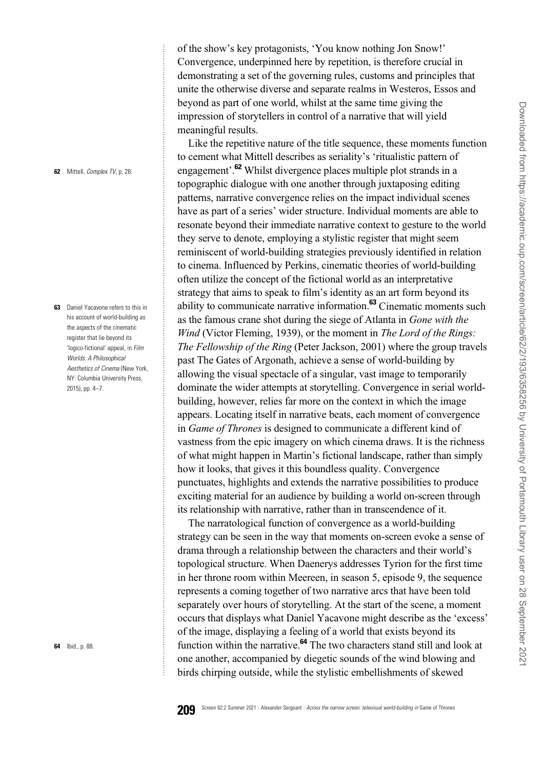. of the show's key protagonists, 'You know nothing Jon Snow!' Convergence, underpinned here by repetition, is therefore crucial in demonstrating a set of the governing rules, customs and principles that unite the otherwise diverse and separate realms in Westeros, Essos and beyond as part of one world, whilst at the same time giving the impression of storytellers in control of a narrative that will yield meaningful results.

Like the repetitive nature of the title sequence, these moments function to cement what Mittell describes as seriality's 'ritualistic pattern of engagement'.<sup>62</sup> Whilst divergence places multiple plot strands in a topographic dialogue with one another through juxtaposing editing patterns, narrative convergence relies on the impact individual scenes have as part of a series' wider structure. Individual moments are able to resonate beyond their immediate narrative context to gesture to the world they serve to denote, employing a stylistic register that might seem reminiscent of world-building strategies previously identified in relation to cinema. Influenced by Perkins, cinematic theories of world-building often utilize the concept of the fictional world as an interpretative strategy that aims to speak to film's identity as an art form beyond its ability to communicate narrative information.<sup>63</sup> Cinematic moments such as the famous crane shot during the siege of Atlanta in Gone with the Wind (Victor Fleming, 1939), or the moment in The Lord of the Rings: The Fellowship of the Ring (Peter Jackson, 2001) where the group travels past The Gates of Argonath, achieve a sense of world-building by allowing the visual spectacle of a singular, vast image to temporarily dominate the wider attempts at storytelling. Convergence in serial worldbuilding, however, relies far more on the context in which the image appears. Locating itself in narrative beats, each moment of convergence in Game of Thrones is designed to communicate a different kind of vastness from the epic imagery on which cinema draws. It is the richness of what might happen in Martin's fictional landscape, rather than simply how it looks, that gives it this boundless quality. Convergence punctuates, highlights and extends the narrative possibilities to produce exciting material for an audience by building a world on-screen through its relationship with narrative, rather than in transcendence of it.

The narratological function of convergence as a world-building strategy can be seen in the way that moments on-screen evoke a sense of drama through a relationship between the characters and their world's topological structure. When Daenerys addresses Tyrion for the first time in her throne room within Meereen, in season 5, episode 9, the sequence represents a coming together of two narrative arcs that have been told separately over hours of storytelling. At the start of the scene, a moment occurs that displays what Daniel Yacavone might describe as the 'excess' of the image, displaying a feeling of a world that exists beyond its function within the narrative. $64$  The two characters stand still and look at one another, accompanied by diegetic sounds of the wind blowing and birds chirping outside, while the stylistic embellishments of skewed

62 Mittell, Complex TV, p. 28.

**63** Daniel Yacavone refers to this in his account of world-building as the aspects of the cinematic register that lie beyond its 'logico-fictional' appeal, in Film Worlds: A Philosophical Aesthetics of Cinema (New York, NY: Columbia University Press, 2015), pp. 4–7.

64 Ibid., p. 88.

. . . . . . . . . . .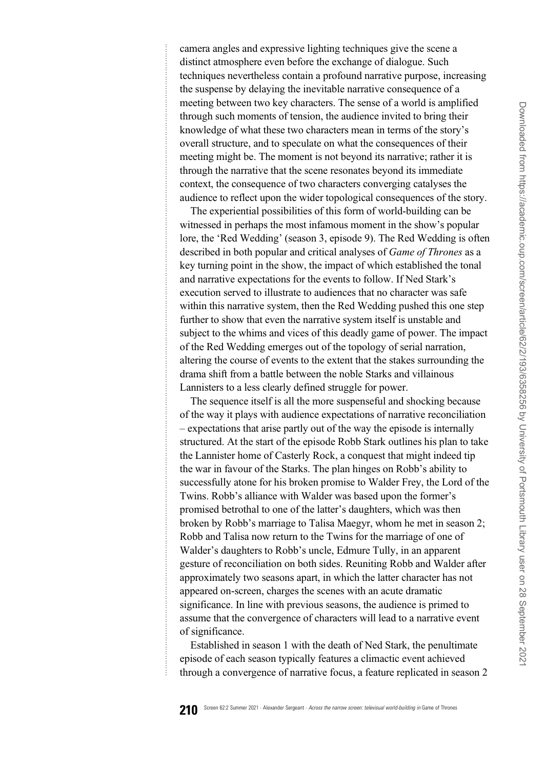. camera angles and expressive lighting techniques give the scene a distinct atmosphere even before the exchange of dialogue. Such techniques nevertheless contain a profound narrative purpose, increasing the suspense by delaying the inevitable narrative consequence of a meeting between two key characters. The sense of a world is amplified through such moments of tension, the audience invited to bring their knowledge of what these two characters mean in terms of the story's overall structure, and to speculate on what the consequences of their meeting might be. The moment is not beyond its narrative; rather it is through the narrative that the scene resonates beyond its immediate context, the consequence of two characters converging catalyses the audience to reflect upon the wider topological consequences of the story.

The experiential possibilities of this form of world-building can be witnessed in perhaps the most infamous moment in the show's popular lore, the 'Red Wedding' (season 3, episode 9). The Red Wedding is often described in both popular and critical analyses of Game of Thrones as a key turning point in the show, the impact of which established the tonal and narrative expectations for the events to follow. If Ned Stark's execution served to illustrate to audiences that no character was safe within this narrative system, then the Red Wedding pushed this one step further to show that even the narrative system itself is unstable and subject to the whims and vices of this deadly game of power. The impact of the Red Wedding emerges out of the topology of serial narration, altering the course of events to the extent that the stakes surrounding the drama shift from a battle between the noble Starks and villainous Lannisters to a less clearly defined struggle for power.

The sequence itself is all the more suspenseful and shocking because of the way it plays with audience expectations of narrative reconciliation – expectations that arise partly out of the way the episode is internally structured. At the start of the episode Robb Stark outlines his plan to take the Lannister home of Casterly Rock, a conquest that might indeed tip the war in favour of the Starks. The plan hinges on Robb's ability to successfully atone for his broken promise to Walder Frey, the Lord of the Twins. Robb's alliance with Walder was based upon the former's promised betrothal to one of the latter's daughters, which was then broken by Robb's marriage to Talisa Maegyr, whom he met in season 2; Robb and Talisa now return to the Twins for the marriage of one of Walder's daughters to Robb's uncle, Edmure Tully, in an apparent gesture of reconciliation on both sides. Reuniting Robb and Walder after approximately two seasons apart, in which the latter character has not appeared on-screen, charges the scenes with an acute dramatic significance. In line with previous seasons, the audience is primed to assume that the convergence of characters will lead to a narrative event of significance.

Established in season 1 with the death of Ned Stark, the penultimate episode of each season typically features a climactic event achieved through a convergence of narrative focus, a feature replicated in season 2

. . . . . . . . . . . . . . . . . . . . . . . . . . . . . . . . . . . . . . . . . . . . . . . . . . . . . . . . . . . . . . . . . . . . . . . . . . . . . . . . . . . . . . . . . . . . . . . . . . . . . . . . . . . . . . . . . . . . . . .

. .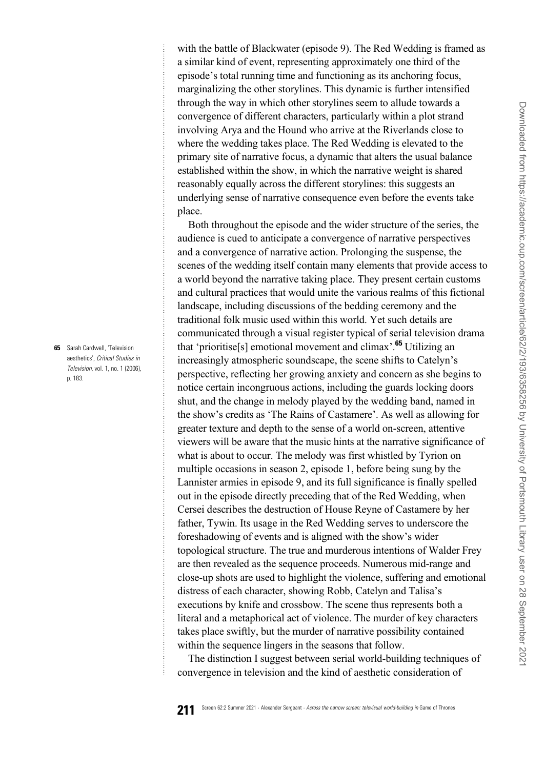. with the battle of Blackwater (episode 9). The Red Wedding is framed as a similar kind of event, representing approximately one third of the episode's total running time and functioning as its anchoring focus, marginalizing the other storylines. This dynamic is further intensified through the way in which other storylines seem to allude towards a convergence of different characters, particularly within a plot strand involving Arya and the Hound who arrive at the Riverlands close to where the wedding takes place. The Red Wedding is elevated to the primary site of narrative focus, a dynamic that alters the usual balance established within the show, in which the narrative weight is shared reasonably equally across the different storylines: this suggests an underlying sense of narrative consequence even before the events take place.

Both throughout the episode and the wider structure of the series, the audience is cued to anticipate a convergence of narrative perspectives and a convergence of narrative action. Prolonging the suspense, the scenes of the wedding itself contain many elements that provide access to a world beyond the narrative taking place. They present certain customs and cultural practices that would unite the various realms of this fictional landscape, including discussions of the bedding ceremony and the traditional folk music used within this world. Yet such details are communicated through a visual register typical of serial television drama that 'prioritise[s] emotional movement and climax'.<sup>65</sup> Utilizing an increasingly atmospheric soundscape, the scene shifts to Catelyn's perspective, reflecting her growing anxiety and concern as she begins to notice certain incongruous actions, including the guards locking doors shut, and the change in melody played by the wedding band, named in the show's credits as 'The Rains of Castamere'. As well as allowing for greater texture and depth to the sense of a world on-screen, attentive viewers will be aware that the music hints at the narrative significance of what is about to occur. The melody was first whistled by Tyrion on multiple occasions in season 2, episode 1, before being sung by the Lannister armies in episode 9, and its full significance is finally spelled out in the episode directly preceding that of the Red Wedding, when Cersei describes the destruction of House Reyne of Castamere by her father, Tywin. Its usage in the Red Wedding serves to underscore the foreshadowing of events and is aligned with the show's wider topological structure. The true and murderous intentions of Walder Frey are then revealed as the sequence proceeds. Numerous mid-range and close-up shots are used to highlight the violence, suffering and emotional distress of each character, showing Robb, Catelyn and Talisa's executions by knife and crossbow. The scene thus represents both a literal and a metaphorical act of violence. The murder of key characters takes place swiftly, but the murder of narrative possibility contained within the sequence lingers in the seasons that follow.

The distinction I suggest between serial world-building techniques of convergence in television and the kind of aesthetic consideration of

65 Sarah Cardwell, 'Television aesthetics', Critical Studies in Television, vol. 1, no. 1 (2006), p. 183.

> . . . . . . . . . . .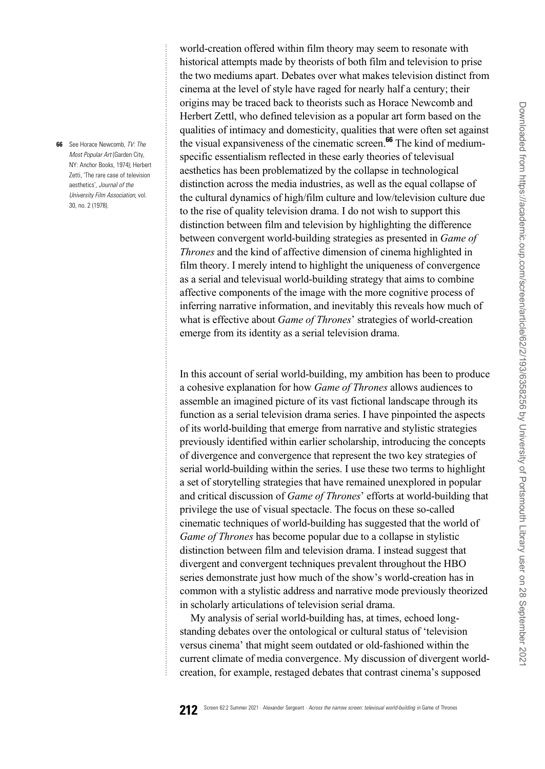**66** See Horace Newcomb, TV: The Most Popular Art (Garden City, NY: Anchor Books, 1974); Herbert Zetti, 'The rare case of television aesthetics', Journal of the University Film Association, vol. 30, no. 2 (1978).

. .

.

. . . . . . . . . . . . . . . . . . . . . . . . . . . . . . . . . . . . . . . . . . . . . . . . . . . . . . . . . . . . . . . . . . . . . . . . . . . . . . . . . . . . . . . . . . . . . . . . . . . . . . . . . . . . . . . . . . . . . . . . world-creation offered within film theory may seem to resonate with historical attempts made by theorists of both film and television to prise the two mediums apart. Debates over what makes television distinct from cinema at the level of style have raged for nearly half a century; their origins may be traced back to theorists such as Horace Newcomb and Herbert Zettl, who defined television as a popular art form based on the qualities of intimacy and domesticity, qualities that were often set against the visual expansiveness of the cinematic screen.<sup>66</sup> The kind of mediumspecific essentialism reflected in these early theories of televisual aesthetics has been problematized by the collapse in technological distinction across the media industries, as well as the equal collapse of the cultural dynamics of high/film culture and low/television culture due to the rise of quality television drama. I do not wish to support this distinction between film and television by highlighting the difference between convergent world-building strategies as presented in Game of Thrones and the kind of affective dimension of cinema highlighted in film theory. I merely intend to highlight the uniqueness of convergence as a serial and televisual world-building strategy that aims to combine affective components of the image with the more cognitive process of inferring narrative information, and inevitably this reveals how much of what is effective about *Game of Thrones*' strategies of world-creation emerge from its identity as a serial television drama.

In this account of serial world-building, my ambition has been to produce a cohesive explanation for how Game of Thrones allows audiences to assemble an imagined picture of its vast fictional landscape through its function as a serial television drama series. I have pinpointed the aspects of its world-building that emerge from narrative and stylistic strategies previously identified within earlier scholarship, introducing the concepts of divergence and convergence that represent the two key strategies of serial world-building within the series. I use these two terms to highlight a set of storytelling strategies that have remained unexplored in popular and critical discussion of Game of Thrones' efforts at world-building that privilege the use of visual spectacle. The focus on these so-called cinematic techniques of world-building has suggested that the world of Game of Thrones has become popular due to a collapse in stylistic distinction between film and television drama. I instead suggest that divergent and convergent techniques prevalent throughout the HBO series demonstrate just how much of the show's world-creation has in common with a stylistic address and narrative mode previously theorized in scholarly articulations of television serial drama.

My analysis of serial world-building has, at times, echoed longstanding debates over the ontological or cultural status of 'television versus cinema' that might seem outdated or old-fashioned within the current climate of media convergence. My discussion of divergent worldcreation, for example, restaged debates that contrast cinema's supposed